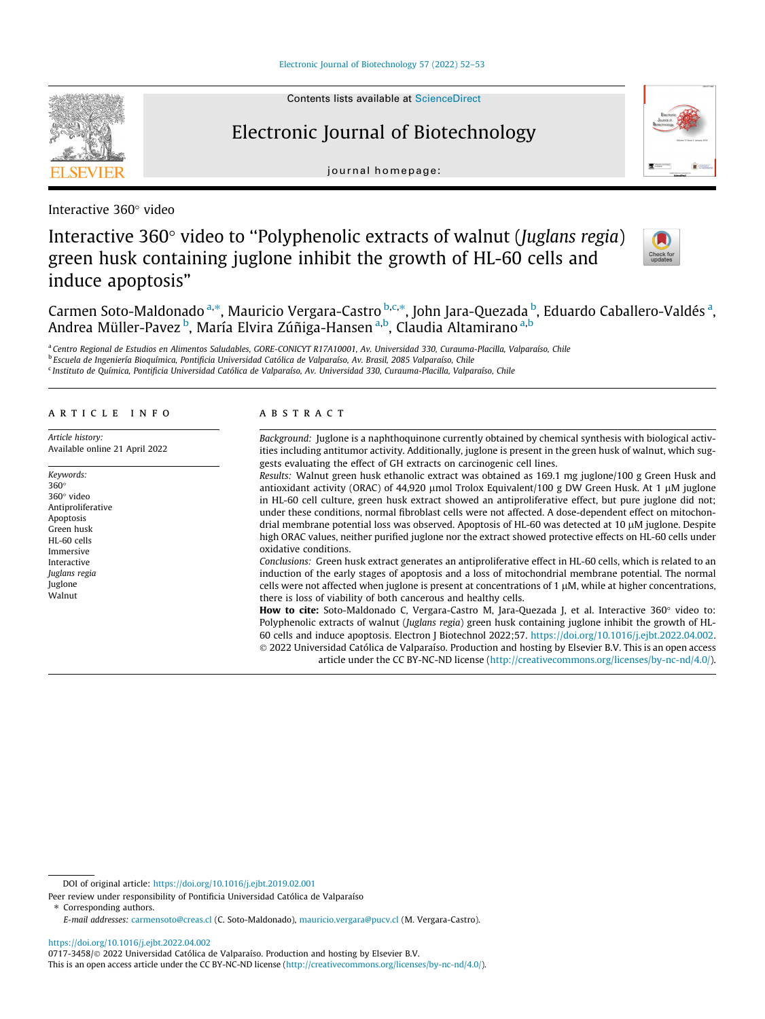

# Electronic Journal of Biotechnology

journal homepage:



Interactive 360° video

## Interactive  $360^\circ$  video to "Polyphenolic extracts of walnut (*Juglans regia*) green husk containing juglone inhibit the growth of HL-60 cells and induce apoptosis"



Carmen Soto-Maldonado ª<sup>,\*</sup>, Mauricio Vergara-Castro <sup>b,c,\*</sup>, John Jara-Quezada <sup>b</sup>, Eduardo Caballero-Valdés ª, Andrea Müller-Pavez <sup>b</sup>, María Elvira Zúñiga-Hansen <sup>a,b</sup>, Claudia Altamirano <sup>a,b</sup>

a Centro Regional de Estudios en Alimentos Saludables, GORE-CONICYT R17A10001, Av. Universidad 330, Curauma-Placilla, Valparaíso, Chile <sup>b</sup> Escuela de Ingeniería Bioquímica, Pontificia Universidad Católica de Valparaíso, Av. Brasil, 2085 Valparaíso, Chile

<sup>c</sup> Instituto de Química, Pontificia Universidad Católica de Valparaíso, Av. Universidad 330, Curauma-Placilla, Valparaíso, Chile

#### article info

Article history: Available online 21 April 2022

Keywords: 360 360° video Antiproliferative Apoptosis Green husk HL-60 cells Immersive Interactive Juglans regia Juglone Walnut

### ABSTRACT

Background: Juglone is a naphthoquinone currently obtained by chemical synthesis with biological activities including antitumor activity. Additionally, juglone is present in the green husk of walnut, which suggests evaluating the effect of GH extracts on carcinogenic cell lines. Results: Walnut green husk ethanolic extract was obtained as 169.1 mg juglone/100 g Green Husk and

antioxidant activity (ORAC) of 44,920 µmol Trolox Equivalent/100 g DW Green Husk. At 1 µM juglone in HL-60 cell culture, green husk extract showed an antiproliferative effect, but pure juglone did not; under these conditions, normal fibroblast cells were not affected. A dose-dependent effect on mitochondrial membrane potential loss was observed. Apoptosis of HL-60 was detected at 10 µM juglone. Despite high ORAC values, neither purified juglone nor the extract showed protective effects on HL-60 cells under oxidative conditions.

Conclusions: Green husk extract generates an antiproliferative effect in HL-60 cells, which is related to an induction of the early stages of apoptosis and a loss of mitochondrial membrane potential. The normal cells were not affected when juglone is present at concentrations of 1  $\mu$ M, while at higher concentrations, there is loss of viability of both cancerous and healthy cells.

How to cite: Soto-Maldonado C, Vergara-Castro M, Jara-Quezada J, et al. Interactive 360° video to: Polyphenolic extracts of walnut (Juglans regia) green husk containing juglone inhibit the growth of HL-60 cells and induce apoptosis. Electron J Biotechnol 2022;57. [https://doi.org/10.1016/j.ejbt.2022.04.002.](https://doi.org/10.1016/j.ejbt.2022.04.002) 2022 Universidad Católica de Valparaíso. Production and hosting by Elsevier B.V. This is an open access article under the CC BY-NC-ND license (<http://creativecommons.org/licenses/by-nc-nd/4.0/>).

⇑ Corresponding authors.

<https://doi.org/10.1016/j.ejbt.2022.04.002>

DOI of original article: https://doi.org/10.1016/j.ejbt.2019.02.001

Peer review under responsibility of Pontificia Universidad Católica de Valparaíso

E-mail addresses: [carmensoto@creas.cl](mailto:carmensoto@creas.cl) (C. Soto-Maldonado), [mauricio.vergara@pucv.cl](mailto:mauricio.vergara@pucv.cl) (M. Vergara-Castro).

<sup>0717-3458/ 2022</sup> Universidad Católica de Valparaíso. Production and hosting by Elsevier B.V.

This is an open access article under the CC BY-NC-ND license ([http://creativecommons.org/licenses/by-nc-nd/4.0/\)](http://creativecommons.org/licenses/by-nc-nd/4.0/).